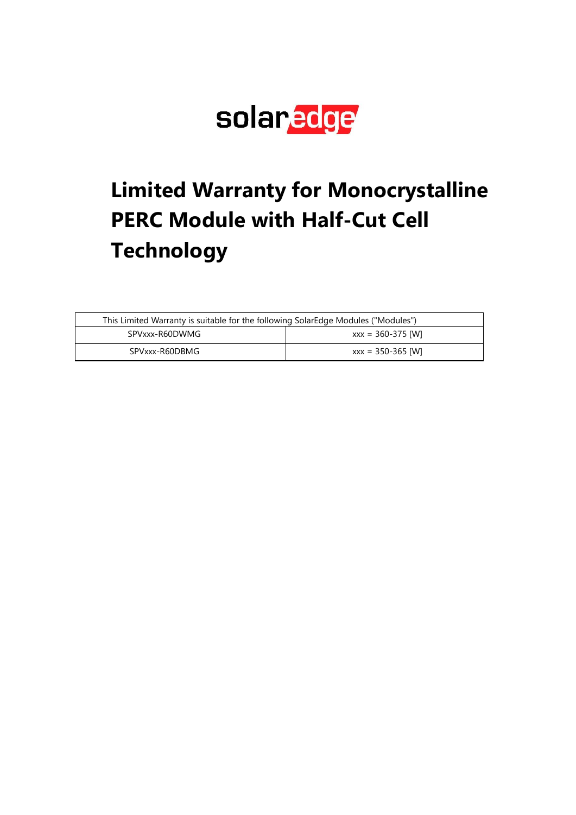

# **Limited Warranty for Monocrystalline PERC Module with Half-Cut Cell Technology**

| This Limited Warranty is suitable for the following SolarEdge Modules ("Modules") |                       |
|-----------------------------------------------------------------------------------|-----------------------|
| SPVxxx-R60DWMG                                                                    | $xxx = 360 - 375$ [W] |
| SPVxxx-R60DBMG                                                                    | $xxx = 350 - 365$ [W] |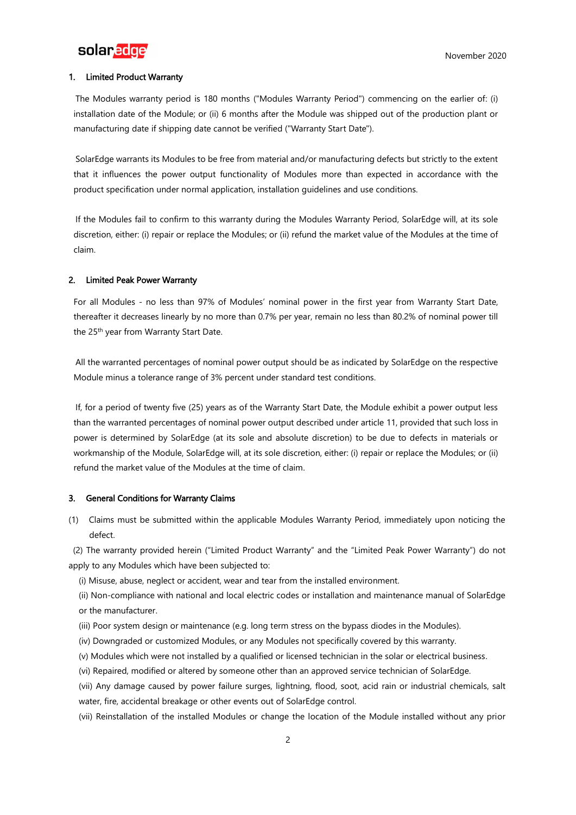

# 1. Limited Product Warranty

The Modules warranty period is 180 months ("Modules Warranty Period") commencing on the earlier of: (i) installation date of the Module; or (ii) 6 months after the Module was shipped out of the production plant or manufacturing date if shipping date cannot be verified ("Warranty Start Date").

SolarEdge warrants its Modules to be free from material and/or manufacturing defects but strictly to the extent that it influences the power output functionality of Modules more than expected in accordance with the product specification under normal application, installation guidelines and use conditions.

If the Modules fail to confirm to this warranty during the Modules Warranty Period, SolarEdge will, at its sole discretion, either: (i) repair or replace the Modules; or (ii) refund the market value of the Modules at the time of claim.

# 2. Limited Peak Power Warranty

For all Modules - no less than 97% of Modules' nominal power in the first year from Warranty Start Date, thereafter it decreases linearly by no more than 0.7% per year, remain no less than 80.2% of nominal power till the 25<sup>th</sup> year from Warranty Start Date.

All the warranted percentages of nominal power output should be as indicated by SolarEdge on the respective Module minus a tolerance range of 3% percent under standard test conditions.

If, for a period of twenty five (25) years as of the Warranty Start Date, the Module exhibit a power output less than the warranted percentages of nominal power output described under article 11, provided that such loss in power is determined by SolarEdge (at its sole and absolute discretion) to be due to defects in materials or workmanship of the Module, SolarEdge will, at its sole discretion, either: (i) repair or replace the Modules; or (ii) refund the market value of the Modules at the time of claim.

## 3. General Conditions for Warranty Claims

(1) Claims must be submitted within the applicable Modules Warranty Period, immediately upon noticing the defect.

(2) The warranty provided herein ("Limited Product Warranty" and the "Limited Peak Power Warranty") do not apply to any Modules which have been subjected to:

(i) Misuse, abuse, neglect or accident, wear and tear from the installed environment.

(ii) Non-compliance with national and local electric codes or installation and maintenance manual of SolarEdge or the manufacturer.

- (iii) Poor system design or maintenance (e.g. long term stress on the bypass diodes in the Modules).
- (iv) Downgraded or customized Modules, or any Modules not specifically covered by this warranty.
- (v) Modules which were not installed by a qualified or licensed technician in the solar or electrical business.
- (vi) Repaired, modified or altered by someone other than an approved service technician of SolarEdge.

(vii) Any damage caused by power failure surges, lightning, flood, soot, acid rain or industrial chemicals, salt water, fire, accidental breakage or other events out of SolarEdge control.

(vii) Reinstallation of the installed Modules or change the location of the Module installed without any prior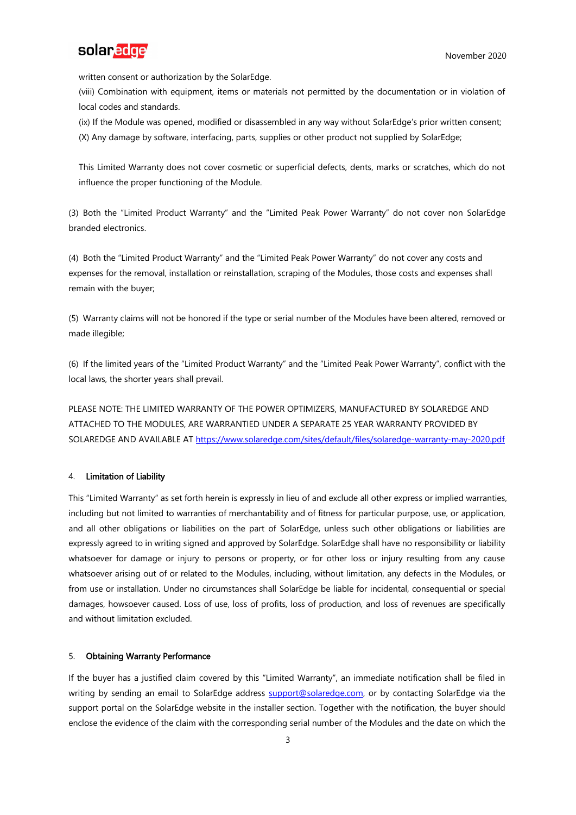

written consent or authorization by the SolarEdge.

(viii) Combination with equipment, items or materials not permitted by the documentation or in violation of local codes and standards.

(ix) If the Module was opened, modified or disassembled in any way without SolarEdge's prior written consent; (X) Any damage by software, interfacing, parts, supplies or other product not supplied by SolarEdge;

This Limited Warranty does not cover cosmetic or superficial defects, dents, marks or scratches, which do not influence the proper functioning of the Module.

(3) Both the "Limited Product Warranty" and the "Limited Peak Power Warranty" do not cover non SolarEdge branded electronics.

(4) Both the "Limited Product Warranty" and the "Limited Peak Power Warranty" do not cover any costs and expenses for the removal, installation or reinstallation, scraping of the Modules, those costs and expenses shall remain with the buyer;

(5) Warranty claims will not be honored if the type or serial number of the Modules have been altered, removed or made illegible;

(6) If the limited years of the "Limited Product Warranty" and the "Limited Peak Power Warranty", conflict with the local laws, the shorter years shall prevail.

PLEASE NOTE: THE LIMITED WARRANTY OF THE POWER OPTIMIZERS, MANUFACTURED BY SOLAREDGE AND ATTACHED TO THE MODULES, ARE WARRANTIED UNDER A SEPARATE 25 YEAR WARRANTY PROVIDED BY SOLAREDGE AND AVAILABLE AT<https://www.solaredge.com/sites/default/files/solaredge-warranty-may-2020.pdf>

# 4. Limitation of Liability

This "Limited Warranty" as set forth herein is expressly in lieu of and exclude all other express or implied warranties, including but not limited to warranties of merchantability and of fitness for particular purpose, use, or application, and all other obligations or liabilities on the part of SolarEdge, unless such other obligations or liabilities are expressly agreed to in writing signed and approved by SolarEdge. SolarEdge shall have no responsibility or liability whatsoever for damage or injury to persons or property, or for other loss or injury resulting from any cause whatsoever arising out of or related to the Modules, including, without limitation, any defects in the Modules, or from use or installation. Under no circumstances shall SolarEdge be liable for incidental, consequential or special damages, howsoever caused. Loss of use, loss of profits, loss of production, and loss of revenues are specifically and without limitation excluded.

# 5. Obtaining Warranty Performance

If the buyer has a justified claim covered by this "Limited Warranty", an immediate notification shall be filed in writing by sending an email to SolarEdge address [support@solaredge.com,](mailto:support@solaredge.comT) or by contacting SolarEdge via the support portal on the SolarEdge website in the installer section. Together with the notification, the buyer should enclose the evidence of the claim with the corresponding serial number of the Modules and the date on which the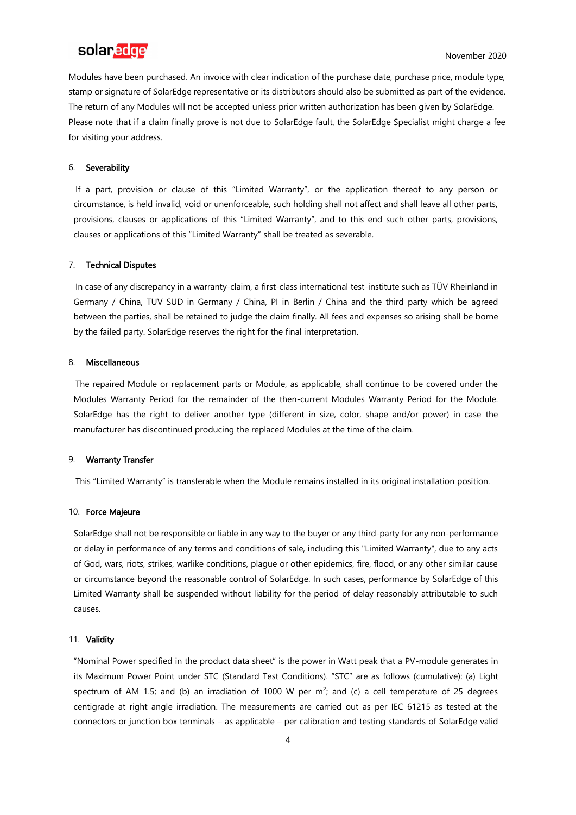# solaredge

Modules have been purchased. An invoice with clear indication of the purchase date, purchase price, module type, stamp or signature of SolarEdge representative or its distributors should also be submitted as part of the evidence. The return of any Modules will not be accepted unless prior written authorization has been given by SolarEdge. Please note that if a claim finally prove is not due to SolarEdge fault, the SolarEdge Specialist might charge a fee for visiting your address.

#### 6. Severability

If a part, provision or clause of this "Limited Warranty", or the application thereof to any person or circumstance, is held invalid, void or unenforceable, such holding shall not affect and shall leave all other parts, provisions, clauses or applications of this "Limited Warranty", and to this end such other parts, provisions, clauses or applications of this "Limited Warranty" shall be treated as severable.

#### 7. Technical Disputes

In case of any discrepancy in a warranty-claim, a first-class international test-institute such as TÜV Rheinland in Germany / China, TUV SUD in Germany / China, PI in Berlin / China and the third party which be agreed between the parties, shall be retained to judge the claim finally. All fees and expenses so arising shall be borne by the failed party. SolarEdge reserves the right for the final interpretation.

#### 8. Miscellaneous

The repaired Module or replacement parts or Module, as applicable, shall continue to be covered under the Modules Warranty Period for the remainder of the then-current Modules Warranty Period for the Module. SolarEdge has the right to deliver another type (different in size, color, shape and/or power) in case the manufacturer has discontinued producing the replaced Modules at the time of the claim.

### 9. Warranty Transfer

This "Limited Warranty" is transferable when the Module remains installed in its original installation position.

#### 10. Force Majeure

SolarEdge shall not be responsible or liable in any way to the buyer or any third-party for any non-performance or delay in performance of any terms and conditions of sale, including this "Limited Warranty", due to any acts of God, wars, riots, strikes, warlike conditions, plague or other epidemics, fire, flood, or any other similar cause or circumstance beyond the reasonable control of SolarEdge. In such cases, performance by SolarEdge of this Limited Warranty shall be suspended without liability for the period of delay reasonably attributable to such causes.

#### 11. Validity

"Nominal Power specified in the product data sheet" is the power in Watt peak that a PV-module generates in its Maximum Power Point under STC (Standard Test Conditions). "STC" are as follows (cumulative): (a) Light spectrum of AM 1.5; and (b) an irradiation of 1000 W per  $m^2$ ; and (c) a cell temperature of 25 degrees centigrade at right angle irradiation. The measurements are carried out as per IEC 61215 as tested at the connectors or junction box terminals – as applicable – per calibration and testing standards of SolarEdge valid